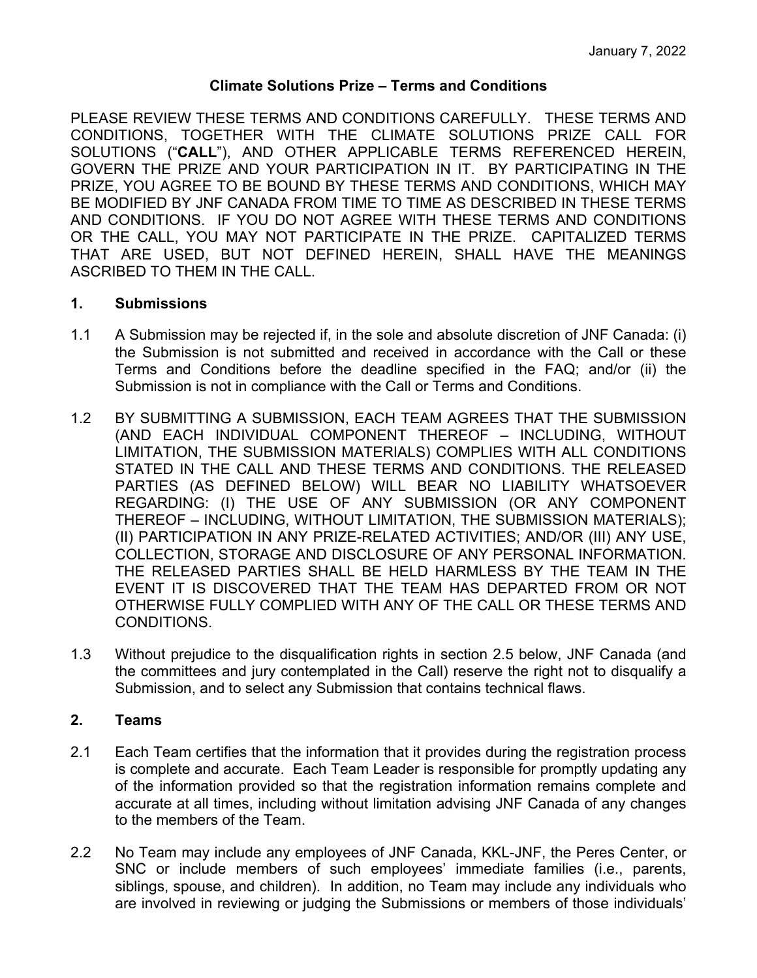# **Climate Solutions Prize – Terms and Conditions**

PLEASE REVIEW THESE TERMS AND CONDITIONS CAREFULLY. THESE TERMS AND CONDITIONS, TOGETHER WITH THE CLIMATE SOLUTIONS PRIZE CALL FOR SOLUTIONS ("**CALL**"), AND OTHER APPLICABLE TERMS REFERENCED HEREIN, GOVERN THE PRIZE AND YOUR PARTICIPATION IN IT. BY PARTICIPATING IN THE PRIZE, YOU AGREE TO BE BOUND BY THESE TERMS AND CONDITIONS, WHICH MAY BE MODIFIED BY JNF CANADA FROM TIME TO TIME AS DESCRIBED IN THESE TERMS AND CONDITIONS. IF YOU DO NOT AGREE WITH THESE TERMS AND CONDITIONS OR THE CALL, YOU MAY NOT PARTICIPATE IN THE PRIZE. CAPITALIZED TERMS THAT ARE USED, BUT NOT DEFINED HEREIN, SHALL HAVE THE MEANINGS ASCRIBED TO THEM IN THE CALL.

### **1. Submissions**

- 1.1 A Submission may be rejected if, in the sole and absolute discretion of JNF Canada: (i) the Submission is not submitted and received in accordance with the Call or these Terms and Conditions before the deadline specified in the FAQ; and/or (ii) the Submission is not in compliance with the Call or Terms and Conditions.
- 1.2 BY SUBMITTING A SUBMISSION, EACH TEAM AGREES THAT THE SUBMISSION (AND EACH INDIVIDUAL COMPONENT THEREOF – INCLUDING, WITHOUT LIMITATION, THE SUBMISSION MATERIALS) COMPLIES WITH ALL CONDITIONS STATED IN THE CALL AND THESE TERMS AND CONDITIONS. THE RELEASED PARTIES (AS DEFINED BELOW) WILL BEAR NO LIABILITY WHATSOEVER REGARDING: (I) THE USE OF ANY SUBMISSION (OR ANY COMPONENT THEREOF – INCLUDING, WITHOUT LIMITATION, THE SUBMISSION MATERIALS); (II) PARTICIPATION IN ANY PRIZE-RELATED ACTIVITIES; AND/OR (III) ANY USE, COLLECTION, STORAGE AND DISCLOSURE OF ANY PERSONAL INFORMATION. THE RELEASED PARTIES SHALL BE HELD HARMLESS BY THE TEAM IN THE EVENT IT IS DISCOVERED THAT THE TEAM HAS DEPARTED FROM OR NOT OTHERWISE FULLY COMPLIED WITH ANY OF THE CALL OR THESE TERMS AND CONDITIONS.
- 1.3 Without prejudice to the disqualification rights in section 2.5 below, JNF Canada (and the committees and jury contemplated in the Call) reserve the right not to disqualify a Submission, and to select any Submission that contains technical flaws.

# **2. Teams**

- 2.1 Each Team certifies that the information that it provides during the registration process is complete and accurate. Each Team Leader is responsible for promptly updating any of the information provided so that the registration information remains complete and accurate at all times, including without limitation advising JNF Canada of any changes to the members of the Team.
- 2.2 No Team may include any employees of JNF Canada, KKL-JNF, the Peres Center, or SNC or include members of such employees' immediate families (i.e., parents, siblings, spouse, and children). In addition, no Team may include any individuals who are involved in reviewing or judging the Submissions or members of those individuals'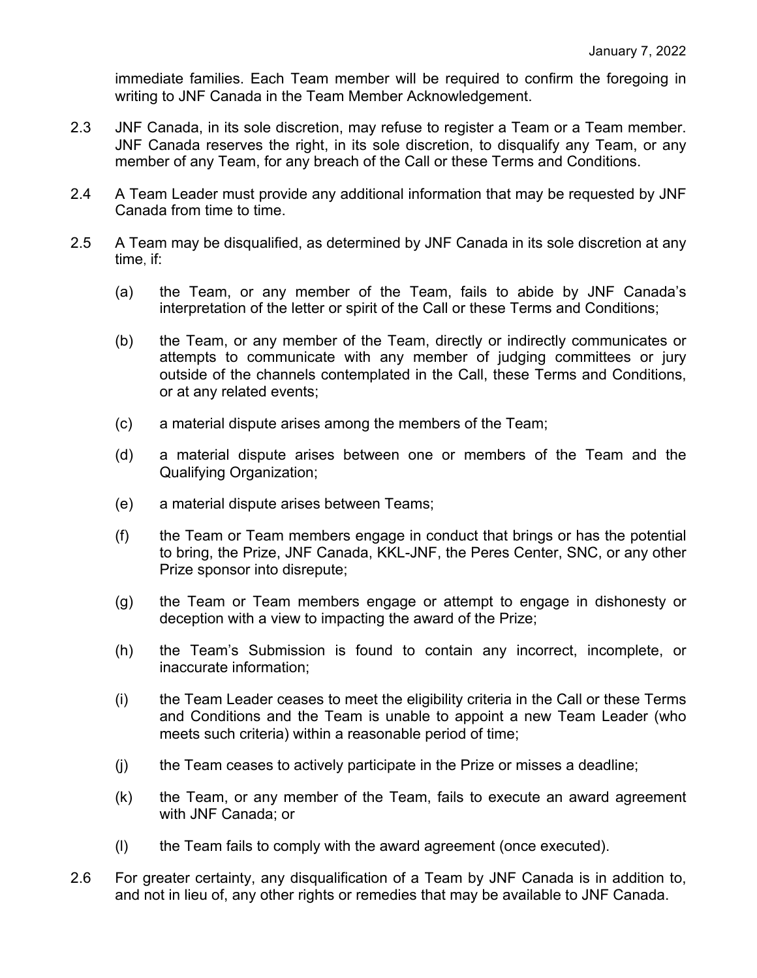immediate families. Each Team member will be required to confirm the foregoing in writing to JNF Canada in the Team Member Acknowledgement.

- 2.3 JNF Canada, in its sole discretion, may refuse to register a Team or a Team member. JNF Canada reserves the right, in its sole discretion, to disqualify any Team, or any member of any Team, for any breach of the Call or these Terms and Conditions.
- 2.4 A Team Leader must provide any additional information that may be requested by JNF Canada from time to time.
- 2.5 A Team may be disqualified, as determined by JNF Canada in its sole discretion at any time, if:
	- (a) the Team, or any member of the Team, fails to abide by JNF Canada's interpretation of the letter or spirit of the Call or these Terms and Conditions;
	- (b) the Team, or any member of the Team, directly or indirectly communicates or attempts to communicate with any member of judging committees or jury outside of the channels contemplated in the Call, these Terms and Conditions, or at any related events;
	- (c) a material dispute arises among the members of the Team;
	- (d) a material dispute arises between one or members of the Team and the Qualifying Organization;
	- (e) a material dispute arises between Teams;
	- (f) the Team or Team members engage in conduct that brings or has the potential to bring, the Prize, JNF Canada, KKL-JNF, the Peres Center, SNC, or any other Prize sponsor into disrepute;
	- (g) the Team or Team members engage or attempt to engage in dishonesty or deception with a view to impacting the award of the Prize;
	- (h) the Team's Submission is found to contain any incorrect, incomplete, or inaccurate information;
	- (i) the Team Leader ceases to meet the eligibility criteria in the Call or these Terms and Conditions and the Team is unable to appoint a new Team Leader (who meets such criteria) within a reasonable period of time;
	- (j) the Team ceases to actively participate in the Prize or misses a deadline;
	- (k) the Team, or any member of the Team, fails to execute an award agreement with JNF Canada; or
	- (l) the Team fails to comply with the award agreement (once executed).
- 2.6 For greater certainty, any disqualification of a Team by JNF Canada is in addition to, and not in lieu of, any other rights or remedies that may be available to JNF Canada.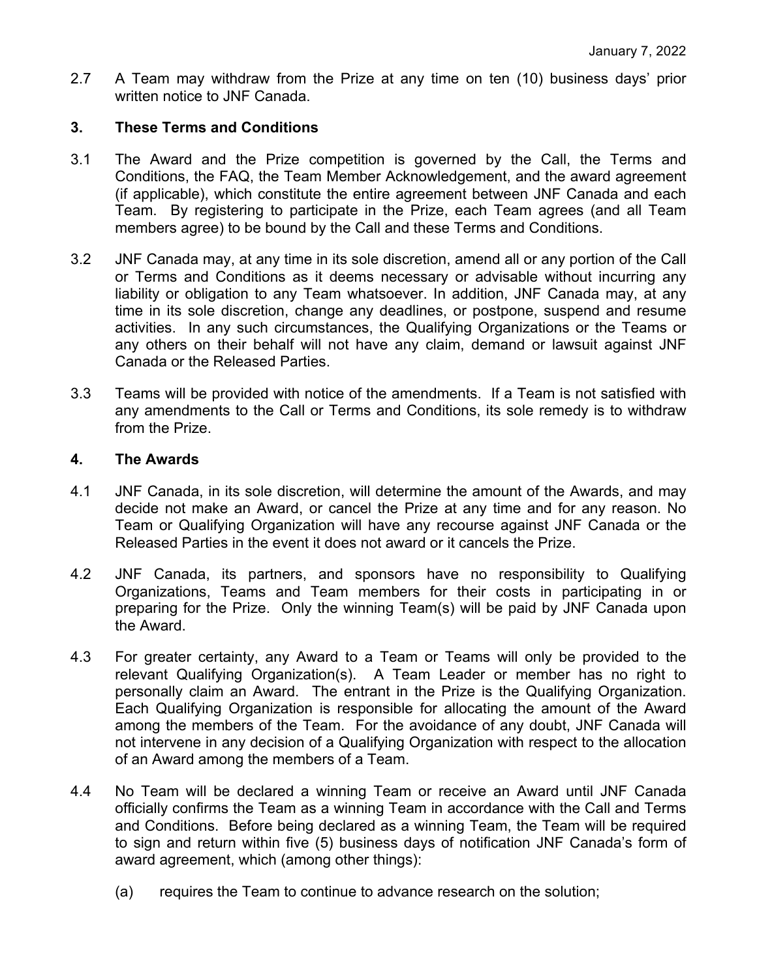2.7 A Team may withdraw from the Prize at any time on ten (10) business days' prior written notice to JNF Canada.

# **3. These Terms and Conditions**

- 3.1 The Award and the Prize competition is governed by the Call, the Terms and Conditions, the FAQ, the Team Member Acknowledgement, and the award agreement (if applicable), which constitute the entire agreement between JNF Canada and each Team. By registering to participate in the Prize, each Team agrees (and all Team members agree) to be bound by the Call and these Terms and Conditions.
- 3.2 JNF Canada may, at any time in its sole discretion, amend all or any portion of the Call or Terms and Conditions as it deems necessary or advisable without incurring any liability or obligation to any Team whatsoever. In addition, JNF Canada may, at any time in its sole discretion, change any deadlines, or postpone, suspend and resume activities. In any such circumstances, the Qualifying Organizations or the Teams or any others on their behalf will not have any claim, demand or lawsuit against JNF Canada or the Released Parties.
- 3.3 Teams will be provided with notice of the amendments. If a Team is not satisfied with any amendments to the Call or Terms and Conditions, its sole remedy is to withdraw from the Prize.

#### **4. The Awards**

- 4.1 JNF Canada, in its sole discretion, will determine the amount of the Awards, and may decide not make an Award, or cancel the Prize at any time and for any reason. No Team or Qualifying Organization will have any recourse against JNF Canada or the Released Parties in the event it does not award or it cancels the Prize.
- 4.2 JNF Canada, its partners, and sponsors have no responsibility to Qualifying Organizations, Teams and Team members for their costs in participating in or preparing for the Prize. Only the winning Team(s) will be paid by JNF Canada upon the Award.
- 4.3 For greater certainty, any Award to a Team or Teams will only be provided to the relevant Qualifying Organization(s). A Team Leader or member has no right to personally claim an Award. The entrant in the Prize is the Qualifying Organization. Each Qualifying Organization is responsible for allocating the amount of the Award among the members of the Team. For the avoidance of any doubt, JNF Canada will not intervene in any decision of a Qualifying Organization with respect to the allocation of an Award among the members of a Team.
- 4.4 No Team will be declared a winning Team or receive an Award until JNF Canada officially confirms the Team as a winning Team in accordance with the Call and Terms and Conditions. Before being declared as a winning Team, the Team will be required to sign and return within five (5) business days of notification JNF Canada's form of award agreement, which (among other things):
	- (a) requires the Team to continue to advance research on the solution;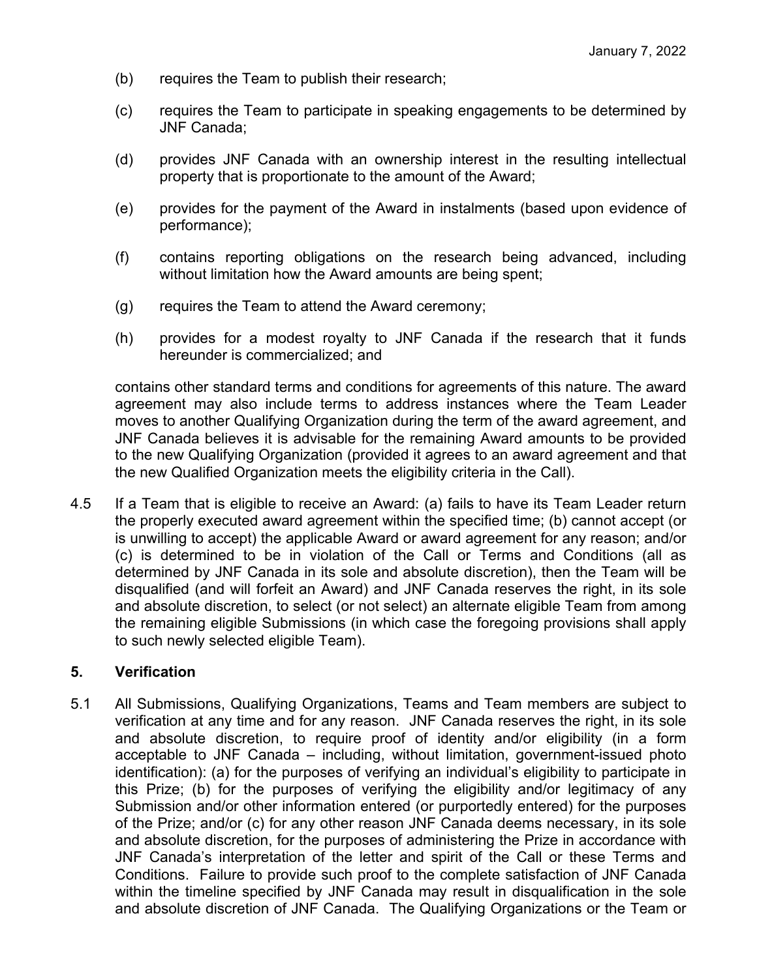- (b) requires the Team to publish their research;
- (c) requires the Team to participate in speaking engagements to be determined by JNF Canada;
- (d) provides JNF Canada with an ownership interest in the resulting intellectual property that is proportionate to the amount of the Award;
- (e) provides for the payment of the Award in instalments (based upon evidence of performance);
- (f) contains reporting obligations on the research being advanced, including without limitation how the Award amounts are being spent;
- (g) requires the Team to attend the Award ceremony;
- (h) provides for a modest royalty to JNF Canada if the research that it funds hereunder is commercialized; and

contains other standard terms and conditions for agreements of this nature. The award agreement may also include terms to address instances where the Team Leader moves to another Qualifying Organization during the term of the award agreement, and JNF Canada believes it is advisable for the remaining Award amounts to be provided to the new Qualifying Organization (provided it agrees to an award agreement and that the new Qualified Organization meets the eligibility criteria in the Call).

4.5 If a Team that is eligible to receive an Award: (a) fails to have its Team Leader return the properly executed award agreement within the specified time; (b) cannot accept (or is unwilling to accept) the applicable Award or award agreement for any reason; and/or (c) is determined to be in violation of the Call or Terms and Conditions (all as determined by JNF Canada in its sole and absolute discretion), then the Team will be disqualified (and will forfeit an Award) and JNF Canada reserves the right, in its sole and absolute discretion, to select (or not select) an alternate eligible Team from among the remaining eligible Submissions (in which case the foregoing provisions shall apply to such newly selected eligible Team).

# **5. Verification**

5.1 All Submissions, Qualifying Organizations, Teams and Team members are subject to verification at any time and for any reason. JNF Canada reserves the right, in its sole and absolute discretion, to require proof of identity and/or eligibility (in a form acceptable to JNF Canada – including, without limitation, government-issued photo identification): (a) for the purposes of verifying an individual's eligibility to participate in this Prize; (b) for the purposes of verifying the eligibility and/or legitimacy of any Submission and/or other information entered (or purportedly entered) for the purposes of the Prize; and/or (c) for any other reason JNF Canada deems necessary, in its sole and absolute discretion, for the purposes of administering the Prize in accordance with JNF Canada's interpretation of the letter and spirit of the Call or these Terms and Conditions. Failure to provide such proof to the complete satisfaction of JNF Canada within the timeline specified by JNF Canada may result in disqualification in the sole and absolute discretion of JNF Canada. The Qualifying Organizations or the Team or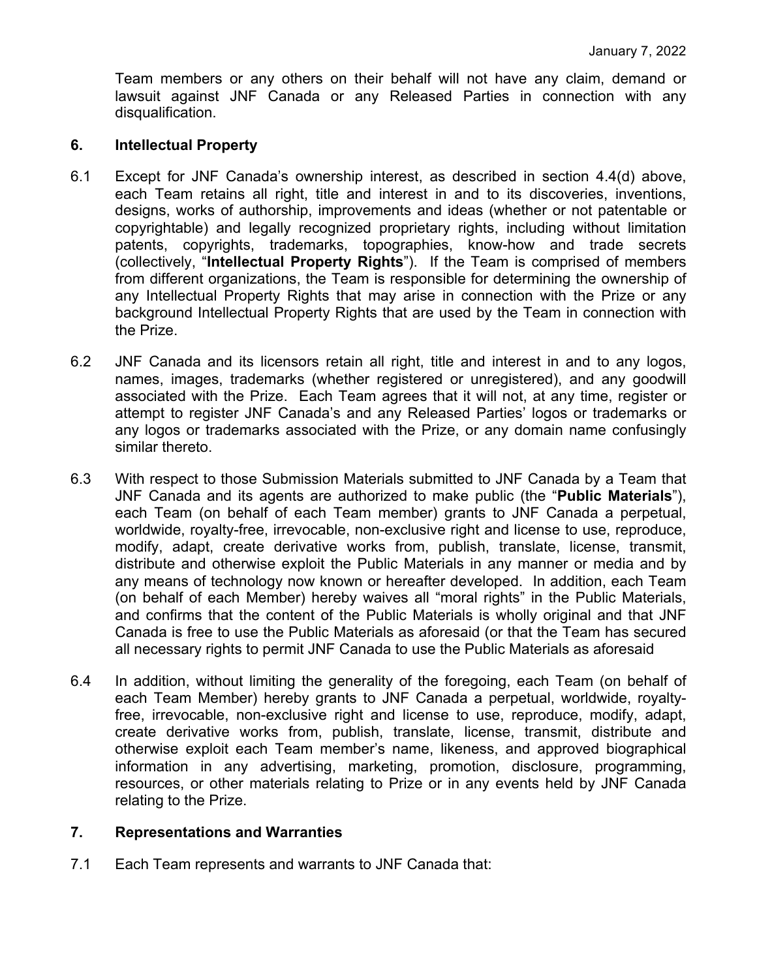Team members or any others on their behalf will not have any claim, demand or lawsuit against JNF Canada or any Released Parties in connection with any disqualification.

## **6. Intellectual Property**

- 6.1 Except for JNF Canada's ownership interest, as described in section 4.4(d) above, each Team retains all right, title and interest in and to its discoveries, inventions, designs, works of authorship, improvements and ideas (whether or not patentable or copyrightable) and legally recognized proprietary rights, including without limitation patents, copyrights, trademarks, topographies, know-how and trade secrets (collectively, "**Intellectual Property Rights**"). If the Team is comprised of members from different organizations, the Team is responsible for determining the ownership of any Intellectual Property Rights that may arise in connection with the Prize or any background Intellectual Property Rights that are used by the Team in connection with the Prize.
- 6.2 JNF Canada and its licensors retain all right, title and interest in and to any logos, names, images, trademarks (whether registered or unregistered), and any goodwill associated with the Prize. Each Team agrees that it will not, at any time, register or attempt to register JNF Canada's and any Released Parties' logos or trademarks or any logos or trademarks associated with the Prize, or any domain name confusingly similar thereto.
- 6.3 With respect to those Submission Materials submitted to JNF Canada by a Team that JNF Canada and its agents are authorized to make public (the "**Public Materials**"), each Team (on behalf of each Team member) grants to JNF Canada a perpetual, worldwide, royalty-free, irrevocable, non-exclusive right and license to use, reproduce, modify, adapt, create derivative works from, publish, translate, license, transmit, distribute and otherwise exploit the Public Materials in any manner or media and by any means of technology now known or hereafter developed. In addition, each Team (on behalf of each Member) hereby waives all "moral rights" in the Public Materials, and confirms that the content of the Public Materials is wholly original and that JNF Canada is free to use the Public Materials as aforesaid (or that the Team has secured all necessary rights to permit JNF Canada to use the Public Materials as aforesaid
- 6.4 In addition, without limiting the generality of the foregoing, each Team (on behalf of each Team Member) hereby grants to JNF Canada a perpetual, worldwide, royaltyfree, irrevocable, non-exclusive right and license to use, reproduce, modify, adapt, create derivative works from, publish, translate, license, transmit, distribute and otherwise exploit each Team member's name, likeness, and approved biographical information in any advertising, marketing, promotion, disclosure, programming, resources, or other materials relating to Prize or in any events held by JNF Canada relating to the Prize.

# **7. Representations and Warranties**

7.1 Each Team represents and warrants to JNF Canada that: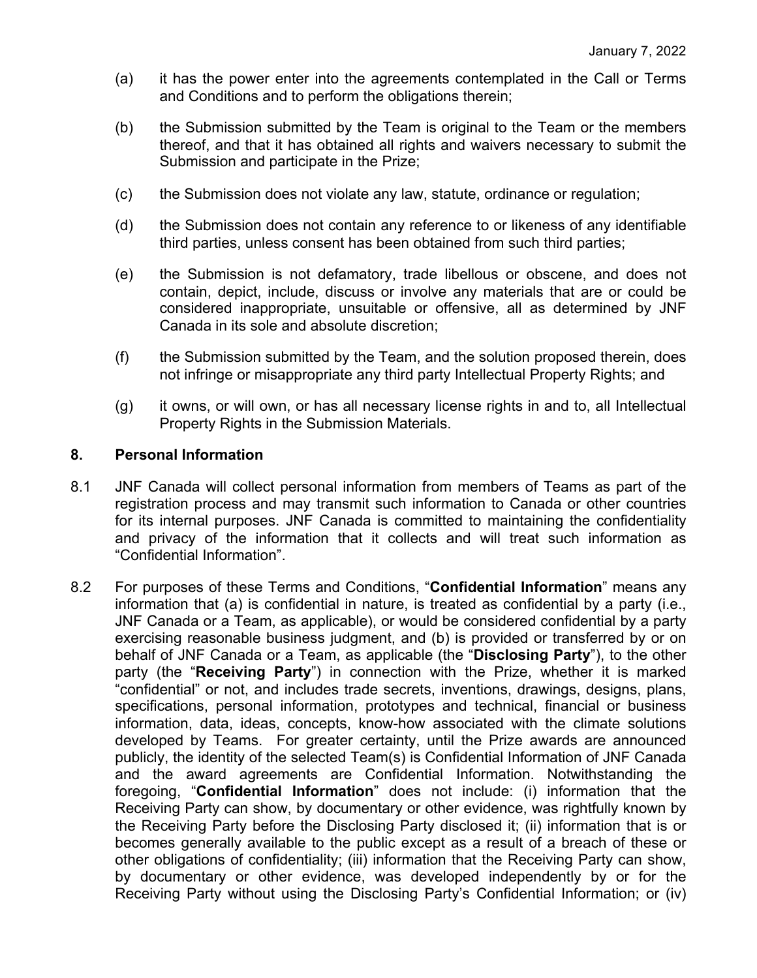- (a) it has the power enter into the agreements contemplated in the Call or Terms and Conditions and to perform the obligations therein;
- (b) the Submission submitted by the Team is original to the Team or the members thereof, and that it has obtained all rights and waivers necessary to submit the Submission and participate in the Prize;
- (c) the Submission does not violate any law, statute, ordinance or regulation;
- (d) the Submission does not contain any reference to or likeness of any identifiable third parties, unless consent has been obtained from such third parties;
- (e) the Submission is not defamatory, trade libellous or obscene, and does not contain, depict, include, discuss or involve any materials that are or could be considered inappropriate, unsuitable or offensive, all as determined by JNF Canada in its sole and absolute discretion;
- (f) the Submission submitted by the Team, and the solution proposed therein, does not infringe or misappropriate any third party Intellectual Property Rights; and
- (g) it owns, or will own, or has all necessary license rights in and to, all Intellectual Property Rights in the Submission Materials.

# **8. Personal Information**

- 8.1 JNF Canada will collect personal information from members of Teams as part of the registration process and may transmit such information to Canada or other countries for its internal purposes. JNF Canada is committed to maintaining the confidentiality and privacy of the information that it collects and will treat such information as "Confidential Information".
- 8.2 For purposes of these Terms and Conditions, "**Confidential Information**" means any information that (a) is confidential in nature, is treated as confidential by a party (i.e., JNF Canada or a Team, as applicable), or would be considered confidential by a party exercising reasonable business judgment, and (b) is provided or transferred by or on behalf of JNF Canada or a Team, as applicable (the "**Disclosing Party**"), to the other party (the "**Receiving Party**") in connection with the Prize, whether it is marked "confidential" or not, and includes trade secrets, inventions, drawings, designs, plans, specifications, personal information, prototypes and technical, financial or business information, data, ideas, concepts, know-how associated with the climate solutions developed by Teams. For greater certainty, until the Prize awards are announced publicly, the identity of the selected Team(s) is Confidential Information of JNF Canada and the award agreements are Confidential Information. Notwithstanding the foregoing, "**Confidential Information**" does not include: (i) information that the Receiving Party can show, by documentary or other evidence, was rightfully known by the Receiving Party before the Disclosing Party disclosed it; (ii) information that is or becomes generally available to the public except as a result of a breach of these or other obligations of confidentiality; (iii) information that the Receiving Party can show, by documentary or other evidence, was developed independently by or for the Receiving Party without using the Disclosing Party's Confidential Information; or (iv)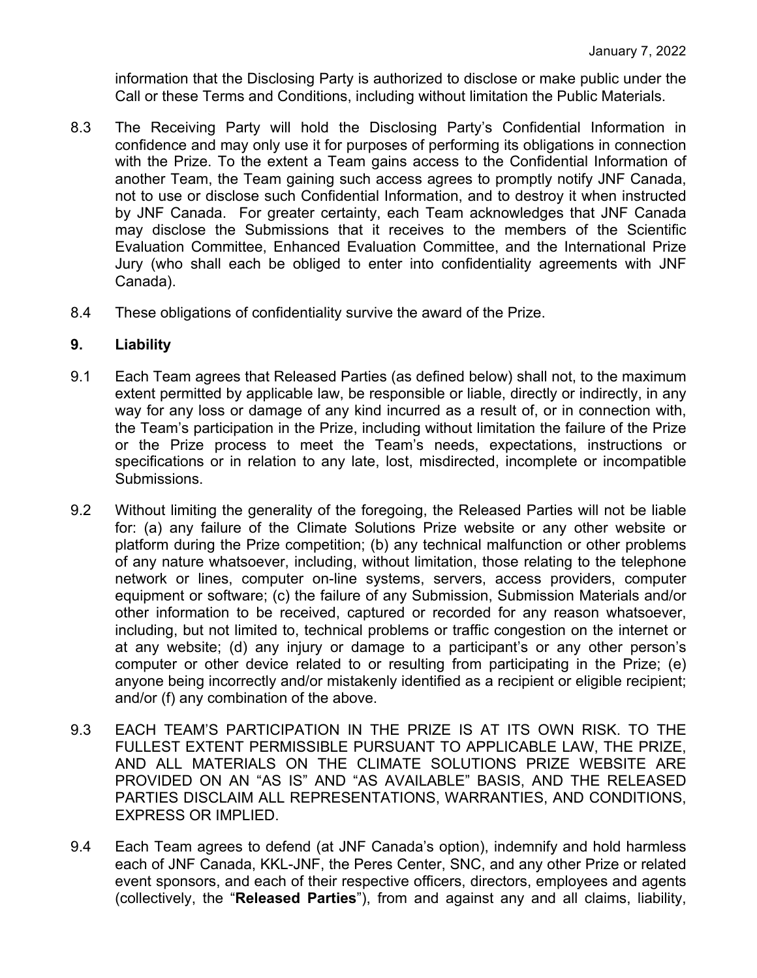information that the Disclosing Party is authorized to disclose or make public under the Call or these Terms and Conditions, including without limitation the Public Materials.

- 8.3 The Receiving Party will hold the Disclosing Party's Confidential Information in confidence and may only use it for purposes of performing its obligations in connection with the Prize. To the extent a Team gains access to the Confidential Information of another Team, the Team gaining such access agrees to promptly notify JNF Canada, not to use or disclose such Confidential Information, and to destroy it when instructed by JNF Canada. For greater certainty, each Team acknowledges that JNF Canada may disclose the Submissions that it receives to the members of the Scientific Evaluation Committee, Enhanced Evaluation Committee, and the International Prize Jury (who shall each be obliged to enter into confidentiality agreements with JNF Canada).
- 8.4 These obligations of confidentiality survive the award of the Prize.

### **9. Liability**

- 9.1 Each Team agrees that Released Parties (as defined below) shall not, to the maximum extent permitted by applicable law, be responsible or liable, directly or indirectly, in any way for any loss or damage of any kind incurred as a result of, or in connection with, the Team's participation in the Prize, including without limitation the failure of the Prize or the Prize process to meet the Team's needs, expectations, instructions or specifications or in relation to any late, lost, misdirected, incomplete or incompatible Submissions.
- 9.2 Without limiting the generality of the foregoing, the Released Parties will not be liable for: (a) any failure of the Climate Solutions Prize website or any other website or platform during the Prize competition; (b) any technical malfunction or other problems of any nature whatsoever, including, without limitation, those relating to the telephone network or lines, computer on-line systems, servers, access providers, computer equipment or software; (c) the failure of any Submission, Submission Materials and/or other information to be received, captured or recorded for any reason whatsoever, including, but not limited to, technical problems or traffic congestion on the internet or at any website; (d) any injury or damage to a participant's or any other person's computer or other device related to or resulting from participating in the Prize; (e) anyone being incorrectly and/or mistakenly identified as a recipient or eligible recipient; and/or (f) any combination of the above.
- 9.3 EACH TEAM'S PARTICIPATION IN THE PRIZE IS AT ITS OWN RISK. TO THE FULLEST EXTENT PERMISSIBLE PURSUANT TO APPLICABLE LAW, THE PRIZE, AND ALL MATERIALS ON THE CLIMATE SOLUTIONS PRIZE WEBSITE ARE PROVIDED ON AN "AS IS" AND "AS AVAILABLE" BASIS, AND THE RELEASED PARTIES DISCLAIM ALL REPRESENTATIONS, WARRANTIES, AND CONDITIONS, EXPRESS OR IMPLIED.
- 9.4 Each Team agrees to defend (at JNF Canada's option), indemnify and hold harmless each of JNF Canada, KKL-JNF, the Peres Center, SNC, and any other Prize or related event sponsors, and each of their respective officers, directors, employees and agents (collectively, the "**Released Parties**"), from and against any and all claims, liability,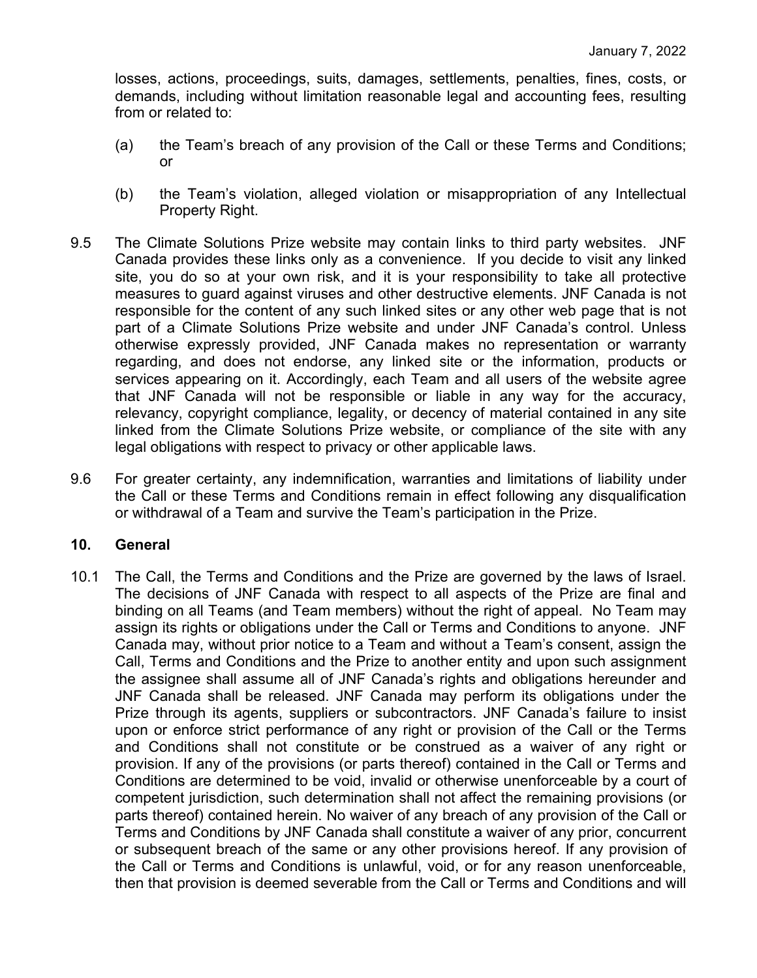losses, actions, proceedings, suits, damages, settlements, penalties, fines, costs, or demands, including without limitation reasonable legal and accounting fees, resulting from or related to:

- (a) the Team's breach of any provision of the Call or these Terms and Conditions; or
- (b) the Team's violation, alleged violation or misappropriation of any Intellectual Property Right.
- 9.5 The Climate Solutions Prize website may contain links to third party websites. JNF Canada provides these links only as a convenience. If you decide to visit any linked site, you do so at your own risk, and it is your responsibility to take all protective measures to guard against viruses and other destructive elements. JNF Canada is not responsible for the content of any such linked sites or any other web page that is not part of a Climate Solutions Prize website and under JNF Canada's control. Unless otherwise expressly provided, JNF Canada makes no representation or warranty regarding, and does not endorse, any linked site or the information, products or services appearing on it. Accordingly, each Team and all users of the website agree that JNF Canada will not be responsible or liable in any way for the accuracy, relevancy, copyright compliance, legality, or decency of material contained in any site linked from the Climate Solutions Prize website, or compliance of the site with any legal obligations with respect to privacy or other applicable laws.
- 9.6 For greater certainty, any indemnification, warranties and limitations of liability under the Call or these Terms and Conditions remain in effect following any disqualification or withdrawal of a Team and survive the Team's participation in the Prize.

#### **10. General**

10.1 The Call, the Terms and Conditions and the Prize are governed by the laws of Israel. The decisions of JNF Canada with respect to all aspects of the Prize are final and binding on all Teams (and Team members) without the right of appeal. No Team may assign its rights or obligations under the Call or Terms and Conditions to anyone. JNF Canada may, without prior notice to a Team and without a Team's consent, assign the Call, Terms and Conditions and the Prize to another entity and upon such assignment the assignee shall assume all of JNF Canada's rights and obligations hereunder and JNF Canada shall be released. JNF Canada may perform its obligations under the Prize through its agents, suppliers or subcontractors. JNF Canada's failure to insist upon or enforce strict performance of any right or provision of the Call or the Terms and Conditions shall not constitute or be construed as a waiver of any right or provision. If any of the provisions (or parts thereof) contained in the Call or Terms and Conditions are determined to be void, invalid or otherwise unenforceable by a court of competent jurisdiction, such determination shall not affect the remaining provisions (or parts thereof) contained herein. No waiver of any breach of any provision of the Call or Terms and Conditions by JNF Canada shall constitute a waiver of any prior, concurrent or subsequent breach of the same or any other provisions hereof. If any provision of the Call or Terms and Conditions is unlawful, void, or for any reason unenforceable, then that provision is deemed severable from the Call or Terms and Conditions and will